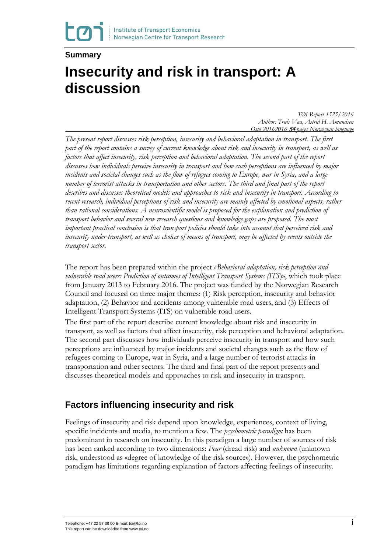#### **Summary**

# **Insecurity and risk in transport: A discussion**

*TØI Report 1525/2016 Author: Truls Vaa, Astrid H. Amundsen Oslo 20162016* <sup>54</sup> *pages Norwegian language*

*The present report discusses risk perception, insecurity and behavioral adaptation in transport. The first part of the report contains a survey of current knowledge about risk and insecurity in transport, as well as factors that affect insecurity, risk perception and behavioral adaptation. The second part of the report discusses how individuals perceive insecurity in transport and how such perceptions are influenced by major incidents and societal changes such as the flow of refugees coming to Europe, war in Syria, and a large number of terrorist attacks in transportation and other sectors. The third and final part of the report describes and discusses theoretical models and approaches to risk and insecurity in transport. According to recent research, individual perceptions of risk and insecurity are mainly affected by emotional aspects, rather than rational considerations. A neuroscientific model is proposed for the explanation and prediction of transport behavior and several new research questions and knowledge gaps are proposed. The most important practical conclusion is that transport policies should take into account that perceived risk and insecurity under transport, as well as choices of means of transport, may be affected by events outside the transport sector.*

The report has been prepared within the project *«Behavioral adaptation, risk perception and vulnerable road users: Prediction of outcomes of Intelligent Transport Systems (ITS*)», which took place from January 2013 to February 2016. The project was funded by the Norwegian Research Council and focused on three major themes: (1) Risk perception, insecurity and behavior adaptation, (2) Behavior and accidents among vulnerable road users, and (3) Effects of Intelligent Transport Systems (ITS) on vulnerable road users.

The first part of the report describe current knowledge about risk and insecurity in transport, as well as factors that affect insecurity, risk perception and behavioral adaptation. The second part discusses how individuals perceive insecurity in transport and how such perceptions are influenced by major incidents and societal changes such as the flow of refugees coming to Europe, war in Syria, and a large number of terrorist attacks in transportation and other sectors. The third and final part of the report presents and discusses theoretical models and approaches to risk and insecurity in transport.

### **Factors influencing insecurity and risk**

Feelings of insecurity and risk depend upon knowledge, experiences, context of living, specific incidents and media, to mention a few. The *psychometric paradigm* has been predominant in research on insecurity. In this paradigm a large number of sources of risk has been ranked according to two dimensions: *Fear* (dread risk) and *unknown* (unknown risk, understood as «degree of knowledge of the risk source»). However, the psychometric paradigm has limitations regarding explanation of factors affecting feelings of insecurity.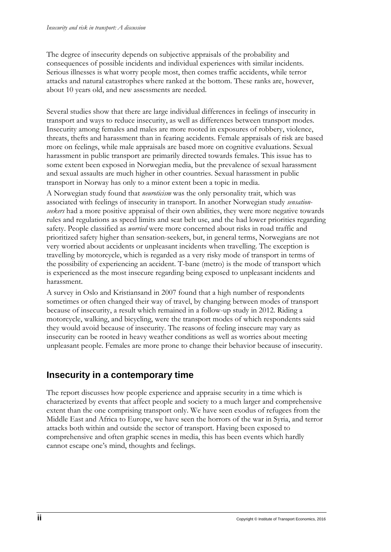The degree of insecurity depends on subjective appraisals of the probability and consequences of possible incidents and individual experiences with similar incidents. Serious illnesses is what worry people most, then comes traffic accidents, while terror attacks and natural catastrophes where ranked at the bottom. These ranks are, however, about 10 years old, and new assessments are needed.

Several studies show that there are large individual differences in feelings of insecurity in transport and ways to reduce insecurity, as well as differences between transport modes. Insecurity among females and males are more rooted in exposures of robbery, violence, threats, thefts and harassment than in fearing accidents. Female appraisals of risk are based more on feelings, while male appraisals are based more on cognitive evaluations. Sexual harassment in public transport are primarily directed towards females. This issue has to some extent been exposed in Norwegian media, but the prevalence of sexual harassment and sexual assaults are much higher in other countries. Sexual harassment in public transport in Norway has only to a minor extent been a topic in media.

A Norwegian study found that *neuroticism* was the only personality trait, which was associated with feelings of insecurity in transport. In another Norwegian study *sensationseekers* had a more positive appraisal of their own abilities, they were more negative towards rules and regulations as speed limits and seat belt use, and the had lower priorities regarding safety. People classified as *worried* were more concerned about risks in road traffic and prioritized safety higher than sensation-seekers, but, in general terms, Norwegians are not very worried about accidents or unpleasant incidents when travelling. The exception is travelling by motorcycle, which is regarded as a very risky mode of transport in terms of the possibility of experiencing an accident. T-bane (metro) is the mode of transport which is experienced as the most insecure regarding being exposed to unpleasant incidents and harassment.

A survey in Oslo and Kristiansand in 2007 found that a high number of respondents sometimes or often changed their way of travel, by changing between modes of transport because of insecurity, a result which remained in a follow-up study in 2012. Riding a motorcycle, walking, and bicycling, were the transport modes of which respondents said they would avoid because of insecurity. The reasons of feeling insecure may vary as insecurity can be rooted in heavy weather conditions as well as worries about meeting unpleasant people. Females are more prone to change their behavior because of insecurity.

# **Insecurity in a contemporary time**

The report discusses how people experience and appraise security in a time which is characterized by events that affect people and society to a much larger and comprehensive extent than the one comprising transport only. We have seen exodus of refugees from the Middle East and Africa to Europe, we have seen the horrors of the war in Syria, and terror attacks both within and outside the sector of transport. Having been exposed to comprehensive and often graphic scenes in media, this has been events which hardly cannot escape one's mind, thoughts and feelings.